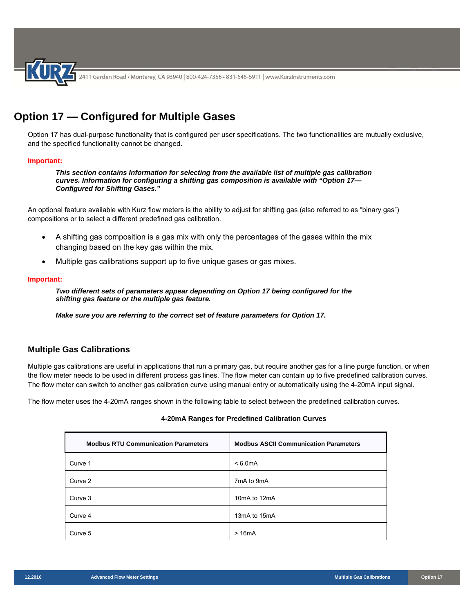

# **Option 17 — Configured for Multiple Gases**

Option 17 has dual-purpose functionality that is configured per user specifications. The two functionalities are mutually exclusive, and the specified functionality cannot be changed.

### **Important:**

*This section contains Information for selecting from the available list of multiple gas calibration curves. Information for configuring a shifting gas composition is available with "Option 17— Configured for Shifting Gases."* 

An optional feature available with Kurz flow meters is the ability to adjust for shifting gas (also referred to as "binary gas") compositions or to select a different predefined gas calibration.

- A shifting gas composition is a gas mix with only the percentages of the gases within the mix changing based on the key gas within the mix.
- Multiple gas calibrations support up to five unique gases or gas mixes.

### **Important:**

*Two different sets of parameters appear depending on Option 17 being configured for the shifting gas feature or the multiple gas feature.* 

*Make sure you are referring to the correct set of feature parameters for Option 17.* 

### **Multiple Gas Calibrations**

Multiple gas calibrations are useful in applications that run a primary gas, but require another gas for a line purge function, or when the flow meter needs to be used in different process gas lines. The flow meter can contain up to five predefined calibration curves. The flow meter can switch to another gas calibration curve using manual entry or automatically using the 4-20mA input signal.

The flow meter uses the 4-20mA ranges shown in the following table to select between the predefined calibration curves.

### **4-20mA Ranges for Predefined Calibration Curves**

| <b>Modbus RTU Communication Parameters</b> | <b>Modbus ASCII Communication Parameters</b> |
|--------------------------------------------|----------------------------------------------|
| Curve 1                                    | $< 6.0 \text{mA}$                            |
| Curve 2                                    | 7mA to 9mA                                   |
| Curve 3                                    | 10mA to 12mA                                 |
| Curve 4                                    | 13mA to 15mA                                 |
| Curve 5                                    | >16mA                                        |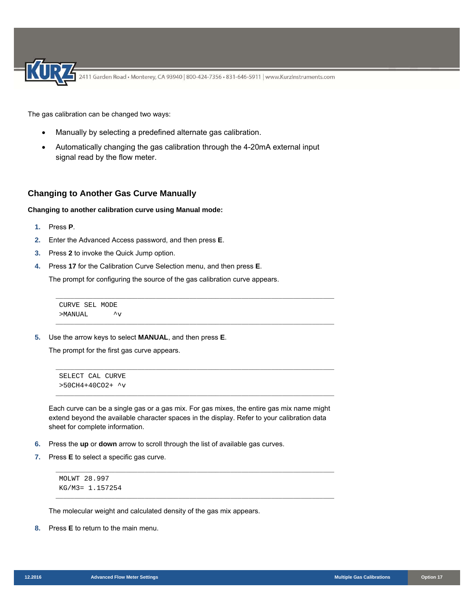The gas calibration can be changed two ways:

- Manually by selecting a predefined alternate gas calibration.
- Automatically changing the gas calibration through the 4-20mA external input signal read by the flow meter.

### **Changing to Another Gas Curve Manually**

#### **Changing to another calibration curve using Manual mode:**

- **1.** Press **P**.
- **2.** Enter the Advanced Access password, and then press **E**.
- **3.** Press **2** to invoke the Quick Jump option.
- **4.** Press **17** for the Calibration Curve Selection menu, and then press **E**.

The prompt for configuring the source of the gas calibration curve appears.

CURVE SEL MODE >MANUAL ^v

**5.** Use the arrow keys to select **MANUAL**, and then press **E**.

The prompt for the first gas curve appears.

```
SELECT CAL CURVE 
>50CH4+40CO2+ ^v
```
Each curve can be a single gas or a gas mix. For gas mixes, the entire gas mix name might extend beyond the available character spaces in the display. Refer to your calibration data sheet for complete information.

\_\_\_\_\_\_\_\_\_\_\_\_\_\_\_\_\_\_\_\_\_\_\_\_\_\_\_\_\_\_\_\_\_\_\_\_\_\_\_\_\_\_\_\_\_\_\_\_\_\_\_\_\_\_\_\_\_\_\_\_\_\_\_\_\_\_\_\_\_\_\_\_\_\_\_

\_\_\_\_\_\_\_\_\_\_\_\_\_\_\_\_\_\_\_\_\_\_\_\_\_\_\_\_\_\_\_\_\_\_\_\_\_\_\_\_\_\_\_\_\_\_\_\_\_\_\_\_\_\_\_\_\_\_\_\_\_\_\_\_\_\_\_\_\_\_\_\_\_\_\_

\_\_\_\_\_\_\_\_\_\_\_\_\_\_\_\_\_\_\_\_\_\_\_\_\_\_\_\_\_\_\_\_\_\_\_\_\_\_\_\_\_\_\_\_\_\_\_\_\_\_\_\_\_\_\_\_\_\_\_\_\_\_\_\_\_\_\_\_\_\_\_\_\_\_\_

\_\_\_\_\_\_\_\_\_\_\_\_\_\_\_\_\_\_\_\_\_\_\_\_\_\_\_\_\_\_\_\_\_\_\_\_\_\_\_\_\_\_\_\_\_\_\_\_\_\_\_\_\_\_\_\_\_\_\_\_\_\_\_\_\_\_\_\_\_\_\_\_\_\_\_

\_\_\_\_\_\_\_\_\_\_\_\_\_\_\_\_\_\_\_\_\_\_\_\_\_\_\_\_\_\_\_\_\_\_\_\_\_\_\_\_\_\_\_\_\_\_\_\_\_\_\_\_\_\_\_\_\_\_\_\_\_\_\_\_\_\_\_\_\_\_\_\_\_\_\_

\_\_\_\_\_\_\_\_\_\_\_\_\_\_\_\_\_\_\_\_\_\_\_\_\_\_\_\_\_\_\_\_\_\_\_\_\_\_\_\_\_\_\_\_\_\_\_\_\_\_\_\_\_\_\_\_\_\_\_\_\_\_\_\_\_\_\_\_\_\_\_\_\_\_\_

- **6.** Press the **up** or **down** arrow to scroll through the list of available gas curves.
- **7.** Press **E** to select a specific gas curve.

MOLWT 28.997 KG/M3= 1.157254

The molecular weight and calculated density of the gas mix appears.

**8.** Press **E** to return to the main menu.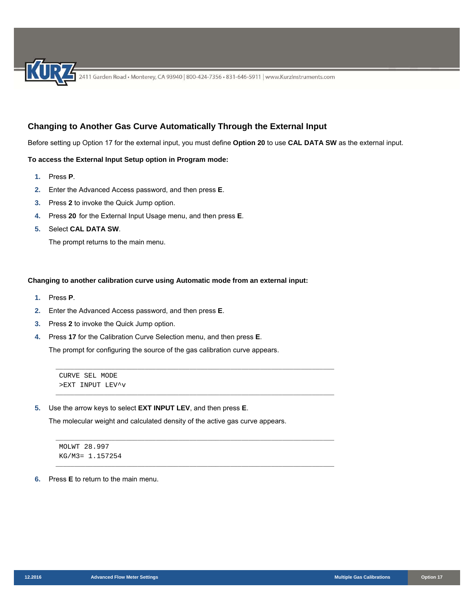## **Changing to Another Gas Curve Automatically Through the External Input**

Before setting up Option 17 for the external input, you must define **Option 20** to use **CAL DATA SW** as the external input.

### **To access the External Input Setup option in Program mode:**

- **1.** Press **P**.
- **2.** Enter the Advanced Access password, and then press **E**.
- **3.** Press **2** to invoke the Quick Jump option.
- **4.** Press **20** for the External Input Usage menu, and then press **E**.
- **5.** Select **CAL DATA SW**.

The prompt returns to the main menu.

### **Changing to another calibration curve using Automatic mode from an external input:**

- **1.** Press **P**.
- **2.** Enter the Advanced Access password, and then press **E**.
- **3.** Press **2** to invoke the Quick Jump option.
- **4.** Press **17** for the Calibration Curve Selection menu, and then press **E**.

The prompt for configuring the source of the gas calibration curve appears.

\_\_\_\_\_\_\_\_\_\_\_\_\_\_\_\_\_\_\_\_\_\_\_\_\_\_\_\_\_\_\_\_\_\_\_\_\_\_\_\_\_\_\_\_\_\_\_\_\_\_\_\_\_\_\_\_\_\_\_\_\_\_\_\_\_\_\_\_\_\_\_\_\_\_\_

\_\_\_\_\_\_\_\_\_\_\_\_\_\_\_\_\_\_\_\_\_\_\_\_\_\_\_\_\_\_\_\_\_\_\_\_\_\_\_\_\_\_\_\_\_\_\_\_\_\_\_\_\_\_\_\_\_\_\_\_\_\_\_\_\_\_\_\_\_\_\_\_\_\_\_

\_\_\_\_\_\_\_\_\_\_\_\_\_\_\_\_\_\_\_\_\_\_\_\_\_\_\_\_\_\_\_\_\_\_\_\_\_\_\_\_\_\_\_\_\_\_\_\_\_\_\_\_\_\_\_\_\_\_\_\_\_\_\_\_\_\_\_\_\_\_\_\_\_\_\_

\_\_\_\_\_\_\_\_\_\_\_\_\_\_\_\_\_\_\_\_\_\_\_\_\_\_\_\_\_\_\_\_\_\_\_\_\_\_\_\_\_\_\_\_\_\_\_\_\_\_\_\_\_\_\_\_\_\_\_\_\_\_\_\_\_\_\_\_\_\_\_\_\_\_\_

```
CURVE SEL MODE 
>EXT INPUT LEV^v
```
**5.** Use the arrow keys to select **EXT INPUT LEV**, and then press **E**.

The molecular weight and calculated density of the active gas curve appears.

MOLWT 28.997 KG/M3= 1.157254

#### **6.** Press **E** to return to the main menu.